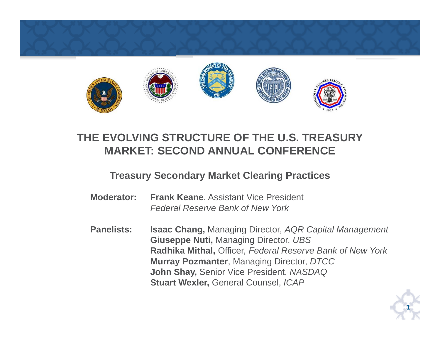

### **THE EVOLVING STRUCTURE OF THE U.S. TREASURY MARKET: SECOND ANNUAL CONFERENCE**

#### **Treasury Secondary Market Clearing Practices**

- **Moderator: Frank Keane**, Assistant Vice President *Federal Reserve Bank of New York*
- **Panelists: Isaac Chang,** Managing Director, *AQR Capital Management*  **Giuseppe Nuti,** Managing Director, *UBS*  **Radhika Mithal,** Officer, *Federal Reserve Bank of New York*  **Murray Pozmanter**, Managing Director, *DTCC*  **John Shay,** Senior Vice President, *NASDAQ*  **Stuart Wexler,** General Counsel, *ICAP*

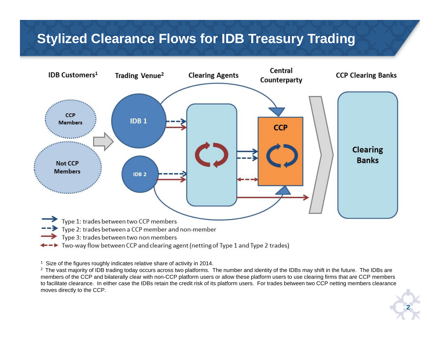### **Stylized Clearance Flows for IDB Treasury Trading**



<sup>1</sup> Size of the figures roughly indicates relative share of activity in 2014.

<sup>2</sup> The vast majority of IDB trading today occurs across two platforms. The number and identity of the IDBs may shift in the future. The IDBs are members of the CCP and bilaterally clear with non-CCP platform users or allow these platform users to use clearing firms that are CCP members to facilitate clearance. In either case the IDBs retain the credit risk of its platform users. For trades between two CCP netting members clearance moves directly to the CCP.

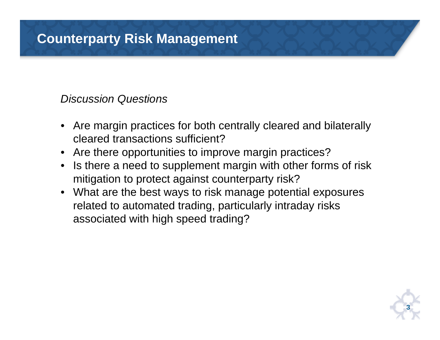# **Counterparty Risk Management**

### *Discussion Questions*

- Are margin practices for both centrally cleared and bilaterally cleared transactions sufficient?
- Are there opportunities to improve margin practices?
- Is there a need to supplement margin with other forms of risk mitigation to protect against counterparty risk?
- What are the best ways to risk manage potential exposures related to automated trading, particularly intraday risks associated with high speed trading?

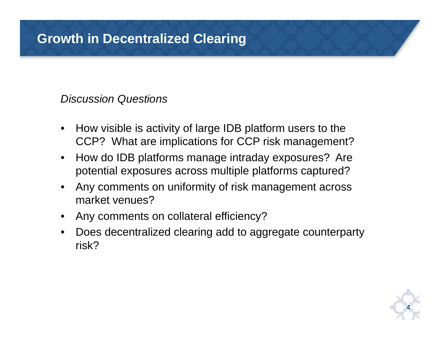## **Growth in Decentralized Clearing**

### *Discussion Questions*

- • How visible is activity of large IDB platform users to the CCP? What are implications for CCP risk management?
- $\bullet$  How do IDB platforms manage intraday exposures? Are potential exposures across multiple platforms captured?
- • Any comments on uniformity of risk management across market venues?
- $\bullet$ Any comments on collateral efficiency?
- • Does decentralized clearing add to aggregate counterparty risk?